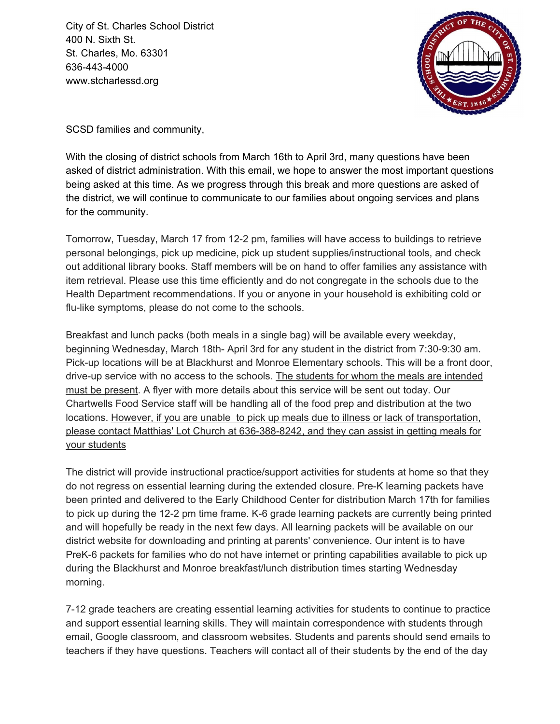City of St. Charles School District 400 N. Sixth St. St. Charles, Mo. 63301 636-443-4000 www.stcharlessd.org



SCSD families and community,

With the closing of district schools from March 16th to April 3rd, many questions have been asked of district administration. With this email, we hope to answer the most important questions being asked at this time. As we progress through this break and more questions are asked of the district, we will continue to communicate to our families about ongoing services and plans for the community.

Tomorrow, Tuesday, March 17 from 12-2 pm, families will have access to buildings to retrieve personal belongings, pick up medicine, pick up student supplies/instructional tools, and check out additional library books. Staff members will be on hand to offer families any assistance with item retrieval. Please use this time efficiently and do not congregate in the schools due to the Health Department recommendations. If you or anyone in your household is exhibiting cold or flu-like symptoms, please do not come to the schools.

Breakfast and lunch packs (both meals in a single bag) will be available every weekday, beginning Wednesday, March 18th- April 3rd for any student in the district from 7:30-9:30 am. Pick-up locations will be at Blackhurst and Monroe Elementary schools. This will be a front door, drive-up service with no access to the schools. The students for whom the meals are intended must be present. A flyer with more details about this service will be sent out today. Our Chartwells Food Service staff will be handling all of the food prep and distribution at the two locations. However, if you are unable to pick up meals due to illness or lack of transportation, please contact Matthias' Lot Church at 636-388-8242, and they can assist in getting meals for your students

The district will provide instructional practice/support activities for students at home so that they do not regress on essential learning during the extended closure. Pre-K learning packets have been printed and delivered to the Early Childhood Center for distribution March 17th for families to pick up during the 12-2 pm time frame. K-6 grade learning packets are currently being printed and will hopefully be ready in the next few days. All learning packets will be available on our district website for downloading and printing at parents' convenience. Our intent is to have PreK-6 packets for families who do not have internet or printing capabilities available to pick up during the Blackhurst and Monroe breakfast/lunch distribution times starting Wednesday morning.

7-12 grade teachers are creating essential learning activities for students to continue to practice and support essential learning skills. They will maintain correspondence with students through email, Google classroom, and classroom websites. Students and parents should send emails to teachers if they have questions. Teachers will contact all of their students by the end of the day